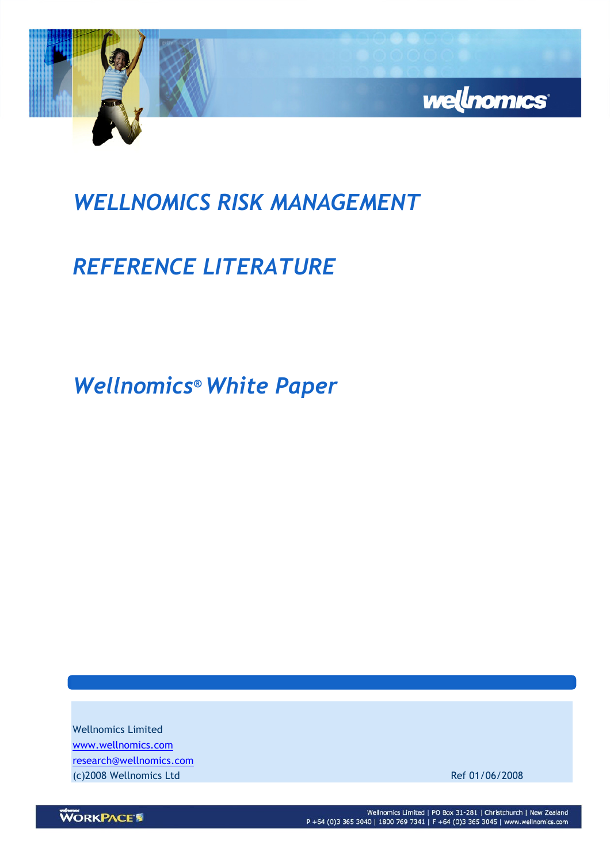

## WELLNOMICS RISK MANAGEMENT

# REFERENCE LITERATURE

Wellnomics® White Paper

Wellnomics Limited www.wellnomics.com research@wellnomics.com (c)2008 Wellnomics Ltd Ref 01/06/2008

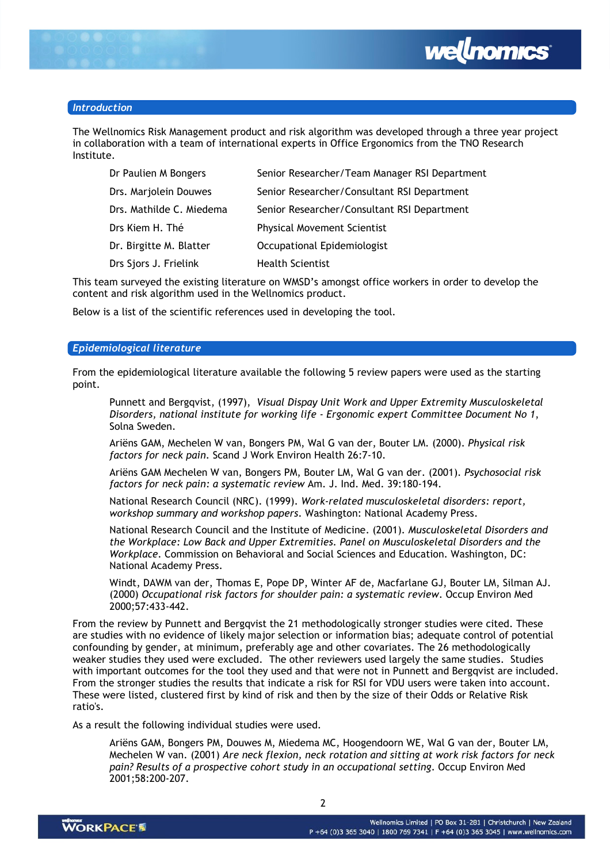

#### Introduction

The Wellnomics Risk Management product and risk algorithm was developed through a three year project in collaboration with a team of international experts in Office Ergonomics from the TNO Research Institute.

| Dr Paulien M Bongers     | Senior Researcher/Team Manager RSI Department |
|--------------------------|-----------------------------------------------|
| Drs. Marjolein Douwes    | Senior Researcher/Consultant RSI Department   |
| Drs. Mathilde C. Miedema | Senior Researcher/Consultant RSI Department   |
| Drs Kiem H. Thé          | <b>Physical Movement Scientist</b>            |
| Dr. Birgitte M. Blatter  | Occupational Epidemiologist                   |
| Drs Sjors J. Frielink    | <b>Health Scientist</b>                       |

This team surveyed the existing literature on WMSD's amongst office workers in order to develop the content and risk algorithm used in the Wellnomics product.

Below is a list of the scientific references used in developing the tool.

#### Epidemiological literature

From the epidemiological literature available the following 5 review papers were used as the starting point.

Punnett and Bergqvist, (1997), Visual Dispay Unit Work and Upper Extremity Musculoskeletal Disorders, national institute for working life - Ergonomic expert Committee Document No 1, Solna Sweden.

Ariëns GAM, Mechelen W van, Bongers PM, Wal G van der, Bouter LM. (2000). Physical risk factors for neck pain. Scand J Work Environ Health 26:7-10.

Ariëns GAM Mechelen W van, Bongers PM, Bouter LM, Wal G van der. (2001). Psychosocial risk factors for neck pain: a systematic review Am. J. Ind. Med. 39:180-194.

National Research Council (NRC). (1999). Work-related musculoskeletal disorders: report, workshop summary and workshop papers. Washington: National Academy Press.

National Research Council and the Institute of Medicine. (2001). Musculoskeletal Disorders and the Workplace: Low Back and Upper Extremities. Panel on Musculoskeletal Disorders and the Workplace. Commission on Behavioral and Social Sciences and Education. Washington, DC: National Academy Press.

Windt, DAWM van der, Thomas E, Pope DP, Winter AF de, Macfarlane GJ, Bouter LM, Silman AJ. (2000) Occupational risk factors for shoulder pain: a systematic review. Occup Environ Med 2000;57:433-442.

From the review by Punnett and Bergqvist the 21 methodologically stronger studies were cited. These are studies with no evidence of likely major selection or information bias; adequate control of potential confounding by gender, at minimum, preferably age and other covariates. The 26 methodologically weaker studies they used were excluded. The other reviewers used largely the same studies. Studies with important outcomes for the tool they used and that were not in Punnett and Bergqvist are included. From the stronger studies the results that indicate a risk for RSI for VDU users were taken into account. These were listed, clustered first by kind of risk and then by the size of their Odds or Relative Risk ratio's.

As a result the following individual studies were used.

Ariëns GAM, Bongers PM, Douwes M, Miedema MC, Hoogendoorn WE, Wal G van der, Bouter LM, Mechelen W van. (2001) Are neck flexion, neck rotation and sitting at work risk factors for neck pain? Results of a prospective cohort study in an occupational setting. Occup Environ Med 2001;58:200-207.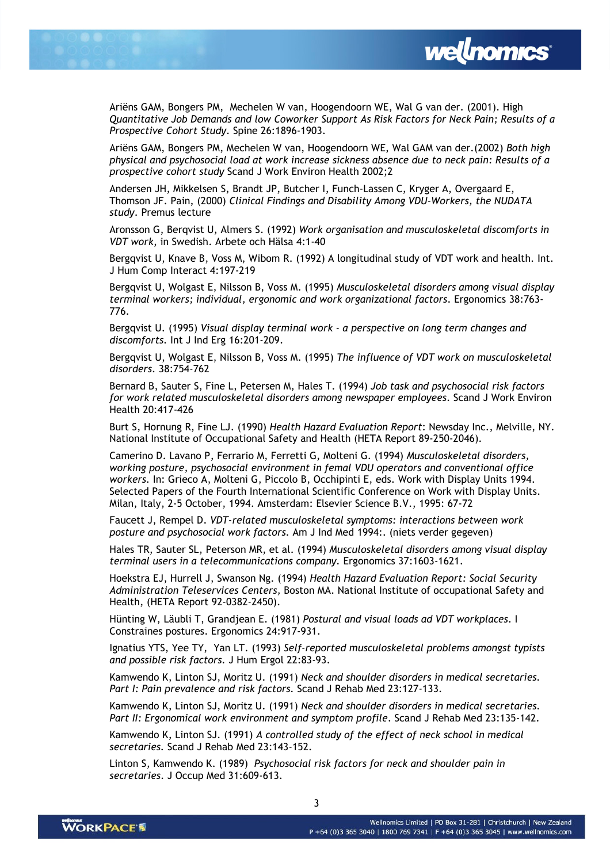



Ariëns GAM, Bongers PM, Mechelen W van, Hoogendoorn WE, Wal G van der. (2001). High Quantitative Job Demands and low Coworker Support As Risk Factors for Neck Pain; Results of a Prospective Cohort Study. Spine 26:1896-1903.

Ariëns GAM, Bongers PM, Mechelen W van, Hoogendoorn WE, Wal GAM van der.(2002) Both high physical and psychosocial load at work increase sickness absence due to neck pain: Results of a prospective cohort study Scand J Work Environ Health 2002;2

Andersen JH, Mikkelsen S, Brandt JP, Butcher I, Funch-Lassen C, Kryger A, Overgaard E, Thomson JF. Pain, (2000) Clinical Findings and Disability Among VDU-Workers, the NUDATA study. Premus lecture

Aronsson G, Berqvist U, Almers S. (1992) Work organisation and musculoskeletal discomforts in VDT work, in Swedish. Arbete och Hälsa 4:1-40

Bergqvist U, Knave B, Voss M, Wibom R. (1992) A longitudinal study of VDT work and health. Int. J Hum Comp Interact 4:197-219

Bergqvist U, Wolgast E, Nilsson B, Voss M. (1995) Musculoskeletal disorders among visual display terminal workers; individual, ergonomic and work organizational factors. Ergonomics 38:763- 776.

Bergqvist U. (1995) Visual display terminal work - a perspective on long term changes and discomforts. Int J Ind Erg 16:201-209.

Bergqvist U, Wolgast E, Nilsson B, Voss M. (1995) The influence of VDT work on musculoskeletal disorders. 38:754-762

Bernard B, Sauter S, Fine L, Petersen M, Hales T. (1994) Job task and psychosocial risk factors for work related musculoskeletal disorders among newspaper employees. Scand J Work Environ Health 20:417-426

Burt S, Hornung R, Fine LJ. (1990) Health Hazard Evaluation Report: Newsday Inc., Melville, NY. National Institute of Occupational Safety and Health (HETA Report 89-250-2046).

Camerino D. Lavano P, Ferrario M, Ferretti G, Molteni G. (1994) Musculoskeletal disorders, working posture, psychosocial environment in femal VDU operators and conventional office workers. In: Grieco A, Molteni G, Piccolo B, Occhipinti E, eds. Work with Display Units 1994. Selected Papers of the Fourth International Scientific Conference on Work with Display Units. Milan, Italy, 2-5 October, 1994. Amsterdam: Elsevier Science B.V., 1995: 67-72

Faucett J, Rempel D. VDT-related musculoskeletal symptoms: interactions between work posture and psychosocial work factors. Am J Ind Med 1994:. (niets verder gegeven)

Hales TR, Sauter SL, Peterson MR, et al. (1994) Musculoskeletal disorders among visual display terminal users in a telecommunications company. Ergonomics 37:1603-1621.

Hoekstra EJ, Hurrell J, Swanson Ng. (1994) Health Hazard Evaluation Report: Social Security Administration Teleservices Centers, Boston MA. National Institute of occupational Safety and Health, (HETA Report 92-0382-2450).

Hünting W, Läubli T, Grandjean E. (1981) Postural and visual loads ad VDT workplaces. I Constraines postures. Ergonomics 24:917-931.

Ignatius YTS, Yee TY, Yan LT. (1993) Self-reported musculoskeletal problems amongst typists and possible risk factors. J Hum Ergol 22:83-93.

Kamwendo K, Linton SJ, Moritz U. (1991) Neck and shoulder disorders in medical secretaries. Part I: Pain prevalence and risk factors. Scand J Rehab Med 23:127-133.

Kamwendo K, Linton SJ, Moritz U. (1991) Neck and shoulder disorders in medical secretaries. Part II: Ergonomical work environment and symptom profile. Scand J Rehab Med 23:135-142.

Kamwendo K, Linton SJ. (1991) A controlled study of the effect of neck school in medical secretaries. Scand J Rehab Med 23:143-152.

Linton S, Kamwendo K. (1989) Psychosocial risk factors for neck and shoulder pain in secretaries. J Occup Med 31:609-613.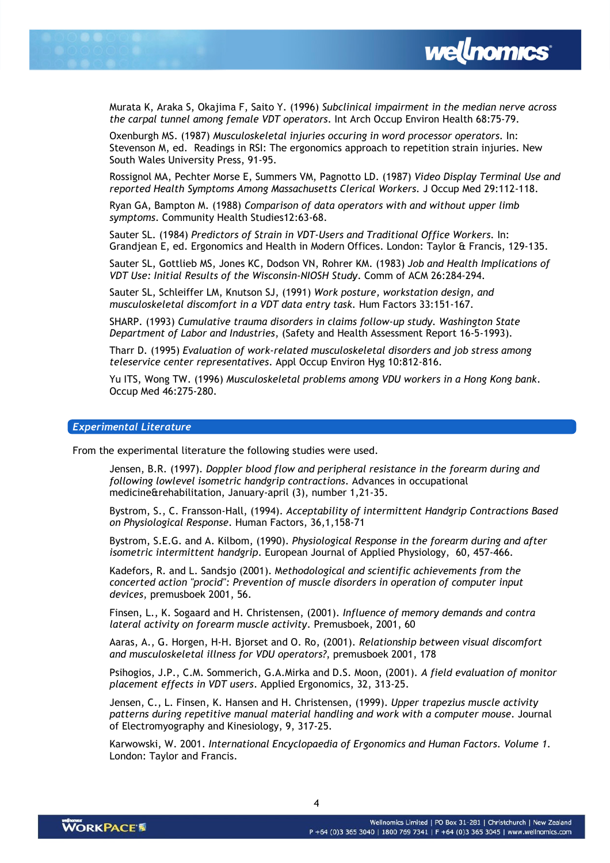



Murata K, Araka S, Okajima F, Saito Y. (1996) Subclinical impairment in the median nerve across the carpal tunnel among female VDT operators. Int Arch Occup Environ Health 68:75-79.

Oxenburgh MS. (1987) Musculoskeletal injuries occuring in word processor operators. In: Stevenson M, ed. Readings in RSI: The ergonomics approach to repetition strain injuries. New South Wales University Press, 91-95.

Rossignol MA, Pechter Morse E, Summers VM, Pagnotto LD. (1987) Video Display Terminal Use and reported Health Symptoms Among Massachusetts Clerical Workers. J Occup Med 29:112-118.

Ryan GA, Bampton M. (1988) Comparison of data operators with and without upper limb symptoms. Community Health Studies12:63-68.

Sauter SL. (1984) Predictors of Strain in VDT-Users and Traditional Office Workers. In: Grandjean E, ed. Ergonomics and Health in Modern Offices. London: Taylor & Francis, 129-135.

Sauter SL, Gottlieb MS, Jones KC, Dodson VN, Rohrer KM. (1983) Job and Health Implications of VDT Use: Initial Results of the Wisconsin-NIOSH Study. Comm of ACM 26:284-294.

Sauter SL, Schleiffer LM, Knutson SJ, (1991) Work posture, workstation design, and musculoskeletal discomfort in a VDT data entry task. Hum Factors 33:151-167.

SHARP. (1993) Cumulative trauma disorders in claims follow-up study. Washington State Department of Labor and Industries, (Safety and Health Assessment Report 16-5-1993).

Tharr D. (1995) Evaluation of work-related musculoskeletal disorders and job stress among teleservice center representatives. Appl Occup Environ Hyg 10:812-816.

Yu ITS, Wong TW. (1996) Musculoskeletal problems among VDU workers in a Hong Kong bank. Occup Med 46:275-280.

### Experimental Literature

From the experimental literature the following studies were used.

Jensen, B.R. (1997). Doppler blood flow and peripheral resistance in the forearm during and following lowlevel isometric handgrip contractions. Advances in occupational medicine&rehabilitation, January-april (3), number 1,21-35.

Bystrom, S., C. Fransson-Hall, (1994). Acceptability of intermittent Handgrip Contractions Based on Physiological Response. Human Factors, 36,1,158-71

Bystrom, S.E.G. and A. Kilbom, (1990). Physiological Response in the forearm during and after isometric intermittent handgrip. European Journal of Applied Physiology, 60, 457-466.

Kadefors, R. and L. Sandsjo (2001). Methodological and scientific achievements from the concerted action "procid": Prevention of muscle disorders in operation of computer input devices, premusboek 2001, 56.

Finsen, L., K. Sogaard and H. Christensen, (2001). Influence of memory demands and contra lateral activity on forearm muscle activity. Premusboek, 2001, 60

Aaras, A., G. Horgen, H-H. Bjorset and O. Ro, (2001). Relationship between visual discomfort and musculoskeletal illness for VDU operators?, premusboek 2001, 178

Psihogios, J.P., C.M. Sommerich, G.A.Mirka and D.S. Moon, (2001). A field evaluation of monitor placement effects in VDT users. Applied Ergonomics, 32, 313-25.

Jensen, C., L. Finsen, K. Hansen and H. Christensen, (1999). Upper trapezius muscle activity patterns during repetitive manual material handling and work with a computer mouse. Journal of Electromyography and Kinesiology, 9, 317-25.

Karwowski, W. 2001. International Encyclopaedia of Ergonomics and Human Factors. Volume 1. London: Taylor and Francis.